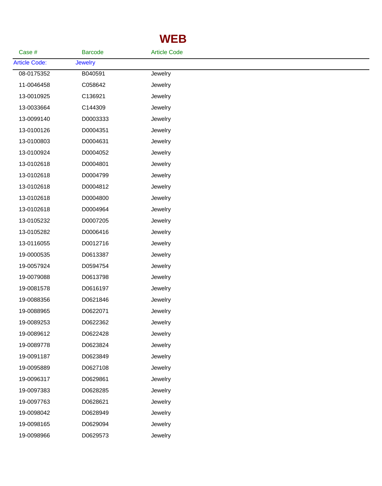## **WEB**

| Case #               | <b>Barcode</b> | <b>Article Code</b> |  |  |
|----------------------|----------------|---------------------|--|--|
| <b>Article Code:</b> | <b>Jewelry</b> |                     |  |  |
| 08-0175352           | B040591        | Jewelry             |  |  |
| 11-0046458           | C058642        | Jewelry             |  |  |
| 13-0010925           | C136921        | Jewelry             |  |  |
| 13-0033664           | C144309        | Jewelry             |  |  |
| 13-0099140           | D0003333       | Jewelry             |  |  |
| 13-0100126           | D0004351       | Jewelry             |  |  |
| 13-0100803           | D0004631       | Jewelry             |  |  |
| 13-0100924           | D0004052       | Jewelry             |  |  |
| 13-0102618           | D0004801       | Jewelry             |  |  |
| 13-0102618           | D0004799       | Jewelry             |  |  |
| 13-0102618           | D0004812       | Jewelry             |  |  |
| 13-0102618           | D0004800       | Jewelry             |  |  |
| 13-0102618           | D0004964       | Jewelry             |  |  |
| 13-0105232           | D0007205       | Jewelry             |  |  |
| 13-0105282           | D0006416       | Jewelry             |  |  |
| 13-0116055           | D0012716       | Jewelry             |  |  |
| 19-0000535           | D0613387       | Jewelry             |  |  |
| 19-0057924           | D0594754       | Jewelry             |  |  |
| 19-0079088           | D0613798       | Jewelry             |  |  |
| 19-0081578           | D0616197       | Jewelry             |  |  |
| 19-0088356           | D0621846       | Jewelry             |  |  |
| 19-0088965           | D0622071       | Jewelry             |  |  |
| 19-0089253           | D0622362       | Jewelry             |  |  |
| 19-0089612           | D0622428       | Jewelry             |  |  |
| 19-0089778           | D0623824       | Jewelry             |  |  |
| 19-0091187           | D0623849       | Jewelry             |  |  |
| 19-0095889           | D0627108       | Jewelry             |  |  |
| 19-0096317           | D0629861       | Jewelry             |  |  |
| 19-0097383           | D0628285       | Jewelry             |  |  |
| 19-0097763           | D0628621       | Jewelry             |  |  |
| 19-0098042           | D0628949       | Jewelry             |  |  |
| 19-0098165           | D0629094       | Jewelry             |  |  |
| 19-0098966           | D0629573       | Jewelry             |  |  |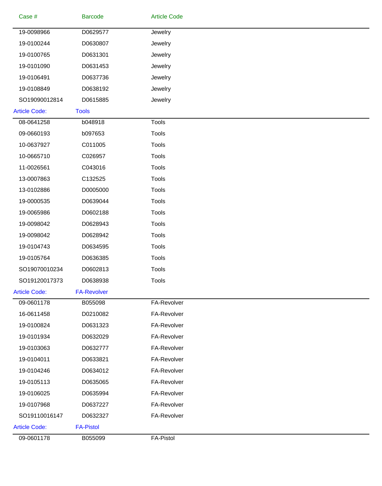| Case #               | <b>Barcode</b>     | <b>Article Code</b> |  |
|----------------------|--------------------|---------------------|--|
| 19-0098966           | D0629577           | Jewelry             |  |
| 19-0100244           | D0630807           | Jewelry             |  |
| 19-0100765           | D0631301           | Jewelry             |  |
| 19-0101090           | D0631453           | Jewelry             |  |
| 19-0106491           | D0637736           | Jewelry             |  |
| 19-0108849           | D0638192           | Jewelry             |  |
| SO19090012814        | D0615885           | Jewelry             |  |
| <b>Article Code:</b> | <b>Tools</b>       |                     |  |
| 08-0641258           | b048918            | <b>Tools</b>        |  |
| 09-0660193           | b097653            | <b>Tools</b>        |  |
| 10-0637927           | C011005            | Tools               |  |
| 10-0665710           | C026957            | <b>Tools</b>        |  |
| 11-0026561           | C043016            | Tools               |  |
| 13-0007863           | C132525            | Tools               |  |
| 13-0102886           | D0005000           | Tools               |  |
| 19-0000535           | D0639044           | Tools               |  |
| 19-0065986           | D0602188           | <b>Tools</b>        |  |
| 19-0098042           | D0628943           | Tools               |  |
| 19-0098042           | D0628942           | Tools               |  |
| 19-0104743           | D0634595           | <b>Tools</b>        |  |
| 19-0105764           | D0636385           | <b>Tools</b>        |  |
| SO19070010234        | D0602813           | <b>Tools</b>        |  |
| SO19120017373        | D0638938           | Tools               |  |
| <b>Article Code:</b> | <b>FA-Revolver</b> |                     |  |
| 09-0601178           | B055098            | FA-Revolver         |  |
| 16-0611458           | D0210082           | FA-Revolver         |  |
| 19-0100824           | D0631323           | FA-Revolver         |  |
| 19-0101934           | D0632029           | FA-Revolver         |  |
| 19-0103063           | D0632777           | FA-Revolver         |  |
| 19-0104011           | D0633821           | FA-Revolver         |  |
| 19-0104246           | D0634012           | FA-Revolver         |  |
| 19-0105113           | D0635065           | FA-Revolver         |  |
| 19-0106025           | D0635994           | FA-Revolver         |  |
| 19-0107968           | D0637227           | FA-Revolver         |  |
| SO19110016147        | D0632327           | FA-Revolver         |  |
| <b>Article Code:</b> | <b>FA-Pistol</b>   |                     |  |
| 09-0601178           | B055099            | FA-Pistol           |  |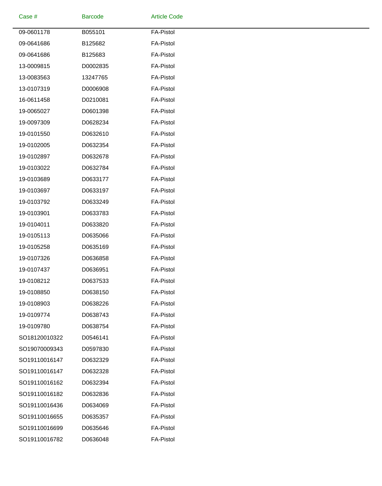| Case #        | <b>Barcode</b> | <b>Article Code</b> |
|---------------|----------------|---------------------|
| 09-0601178    | B055101        | <b>FA-Pistol</b>    |
| 09-0641686    | B125682        | <b>FA-Pistol</b>    |
| 09-0641686    | B125683        | <b>FA-Pistol</b>    |
| 13-0009815    | D0002835       | <b>FA-Pistol</b>    |
| 13-0083563    | 13247765       | <b>FA-Pistol</b>    |
| 13-0107319    | D0006908       | <b>FA-Pistol</b>    |
| 16-0611458    | D0210081       | <b>FA-Pistol</b>    |
| 19-0065027    | D0601398       | <b>FA-Pistol</b>    |
| 19-0097309    | D0628234       | <b>FA-Pistol</b>    |
| 19-0101550    | D0632610       | <b>FA-Pistol</b>    |
| 19-0102005    | D0632354       | <b>FA-Pistol</b>    |
| 19-0102897    | D0632678       | <b>FA-Pistol</b>    |
| 19-0103022    | D0632784       | <b>FA-Pistol</b>    |
| 19-0103689    | D0633177       | <b>FA-Pistol</b>    |
| 19-0103697    | D0633197       | <b>FA-Pistol</b>    |
| 19-0103792    | D0633249       | <b>FA-Pistol</b>    |
| 19-0103901    | D0633783       | <b>FA-Pistol</b>    |
| 19-0104011    | D0633820       | <b>FA-Pistol</b>    |
| 19-0105113    | D0635066       | <b>FA-Pistol</b>    |
| 19-0105258    | D0635169       | <b>FA-Pistol</b>    |
| 19-0107326    | D0636858       | <b>FA-Pistol</b>    |
| 19-0107437    | D0636951       | <b>FA-Pistol</b>    |
| 19-0108212    | D0637533       | <b>FA-Pistol</b>    |
| 19-0108850    | D0638150       | <b>FA-Pistol</b>    |
| 19-0108903    | D0638226       | <b>FA-Pistol</b>    |
| 19-0109774    | D0638743       | <b>FA-Pistol</b>    |
| 19-0109780    | D0638754       | <b>FA-Pistol</b>    |
| SO18120010322 | D0546141       | <b>FA-Pistol</b>    |
| SO19070009343 | D0597830       | <b>FA-Pistol</b>    |
| SO19110016147 | D0632329       | <b>FA-Pistol</b>    |
| SO19110016147 | D0632328       | <b>FA-Pistol</b>    |
| SO19110016162 | D0632394       | <b>FA-Pistol</b>    |
| SO19110016182 | D0632836       | FA-Pistol           |
| SO19110016436 | D0634069       | <b>FA-Pistol</b>    |
| SO19110016655 | D0635357       | <b>FA-Pistol</b>    |
| SO19110016699 | D0635646       | <b>FA-Pistol</b>    |
| SO19110016782 | D0636048       | <b>FA-Pistol</b>    |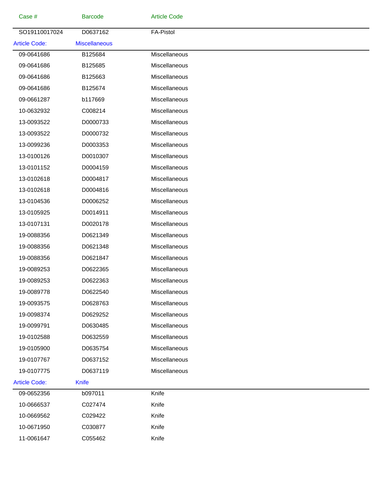| Case #               | <b>Barcode</b>       | <b>Article Code</b> |  |
|----------------------|----------------------|---------------------|--|
| SO19110017024        | D0637162             | <b>FA-Pistol</b>    |  |
| <b>Article Code:</b> | <b>Miscellaneous</b> |                     |  |
| 09-0641686           | B125684              | Miscellaneous       |  |
| 09-0641686           | B125685              | Miscellaneous       |  |
| 09-0641686           | B125663              | Miscellaneous       |  |
| 09-0641686           | B125674              | Miscellaneous       |  |
| 09-0661287           | b117669              | Miscellaneous       |  |
| 10-0632932           | C008214              | Miscellaneous       |  |
| 13-0093522           | D0000733             | Miscellaneous       |  |
| 13-0093522           | D0000732             | Miscellaneous       |  |
| 13-0099236           | D0003353             | Miscellaneous       |  |
| 13-0100126           | D0010307             | Miscellaneous       |  |
| 13-0101152           | D0004159             | Miscellaneous       |  |
| 13-0102618           | D0004817             | Miscellaneous       |  |
| 13-0102618           | D0004816             | Miscellaneous       |  |
| 13-0104536           | D0006252             | Miscellaneous       |  |
| 13-0105925           | D0014911             | Miscellaneous       |  |
| 13-0107131           | D0020178             | Miscellaneous       |  |
| 19-0088356           | D0621349             | Miscellaneous       |  |
| 19-0088356           | D0621348             | Miscellaneous       |  |
| 19-0088356           | D0621847             | Miscellaneous       |  |
| 19-0089253           | D0622365             | Miscellaneous       |  |
| 19-0089253           | D0622363             | Miscellaneous       |  |
| 19-0089778           | D0622540             | Miscellaneous       |  |
| 19-0093575           | D0628763             | Miscellaneous       |  |
| 19-0098374           | D0629252             | Miscellaneous       |  |
| 19-0099791           | D0630485             | Miscellaneous       |  |
| 19-0102588           | D0632559             | Miscellaneous       |  |
| 19-0105900           | D0635754             | Miscellaneous       |  |
| 19-0107767           | D0637152             | Miscellaneous       |  |
| 19-0107775           | D0637119             | Miscellaneous       |  |
| <b>Article Code:</b> | <b>Knife</b>         |                     |  |
| 09-0652356           | b097011              | Knife               |  |
| 10-0666537           | C027474              | Knife               |  |
| 10-0669562           | C029422              | Knife               |  |
| 10-0671950           | C030877              | Knife               |  |
| 11-0061647           | C055462              | Knife               |  |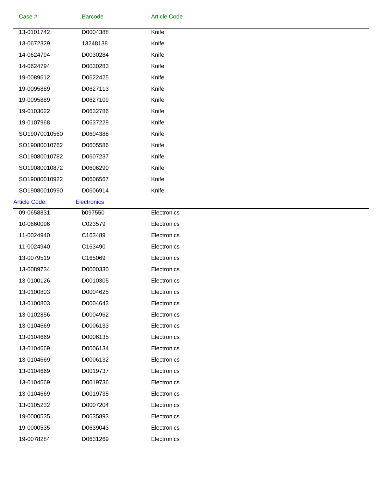| Case #               | <b>Barcode</b>     | <b>Article Code</b> |
|----------------------|--------------------|---------------------|
| 13-0101742           | D0004388           | Knife               |
| 13-0672329           | 13248138           | Knife               |
| 14-0624794           | D0030284           | Knife               |
| 14-0624794           | D0030283           | Knife               |
| 19-0089612           | D0622425           | Knife               |
| 19-0095889           | D0627113           | Knife               |
| 19-0095889           | D0627109           | Knife               |
| 19-0103022           | D0632786           | Knife               |
| 19-0107968           | D0637229           | Knife               |
| SO19070010560        | D0604388           | Knife               |
| SO19080010762        | D0605586           | Knife               |
| SO19080010782        | D0607237           | Knife               |
| SO19080010872        | D0606290           | Knife               |
| SO19080010922        | D0606567           | Knife               |
| SO19080010990        | D0606914           | Knife               |
| <b>Article Code:</b> | <b>Electronics</b> |                     |
| 09-0658831           | b097550            | Electronics         |
| 10-0660096           | C023579            | Electronics         |
| 11-0024940           | C163489            | Electronics         |
| 11-0024940           | C163490            | Electronics         |
| 13-0079519           | C165069            | Electronics         |
| 13-0089734           | D0000330           | Electronics         |
| 13-0100126           | D0010305           | Electronics         |
| 13-0100803           | D0004625           | Electronics         |
| 13-0100803           | D0004643           | Electronics         |
| 13-0102856           | D0004962           | Electronics         |
| 13-0104669           | D0006133           | Electronics         |
| 13-0104669           | D0006135           | Electronics         |
| 13-0104669           | D0006134           | Electronics         |
| 13-0104669           | D0006132           | Electronics         |
| 13-0104669           | D0019737           | Electronics         |
| 13-0104669           | D0019736           | Electronics         |
| 13-0104669           | D0019735           | Electronics         |
| 13-0105232           | D0007204           | Electronics         |
| 19-0000535           | D0635893           | Electronics         |
| 19-0000535           | D0639043           | Electronics         |
| 19-0078284           | D0631269           | Electronics         |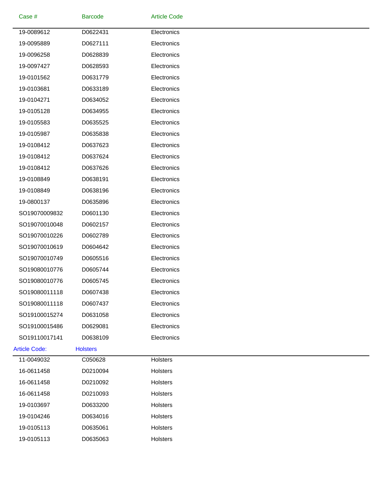| Case #               | <b>Barcode</b>  | <b>Article Code</b> |  |
|----------------------|-----------------|---------------------|--|
| 19-0089612           | D0622431        | Electronics         |  |
| 19-0095889           | D0627111        | Electronics         |  |
| 19-0096258           | D0628839        | Electronics         |  |
| 19-0097427           | D0628593        | Electronics         |  |
| 19-0101562           | D0631779        | Electronics         |  |
| 19-0103681           | D0633189        | Electronics         |  |
| 19-0104271           | D0634052        | Electronics         |  |
| 19-0105128           | D0634955        | Electronics         |  |
| 19-0105583           | D0635525        | Electronics         |  |
| 19-0105987           | D0635838        | Electronics         |  |
| 19-0108412           | D0637623        | Electronics         |  |
| 19-0108412           | D0637624        | Electronics         |  |
| 19-0108412           | D0637626        | Electronics         |  |
| 19-0108849           | D0638191        | Electronics         |  |
| 19-0108849           | D0638196        | Electronics         |  |
| 19-0800137           | D0635896        | Electronics         |  |
| SO19070009832        | D0601130        | Electronics         |  |
| SO19070010048        | D0602157        | Electronics         |  |
| SO19070010226        | D0602789        | Electronics         |  |
| SO19070010619        | D0604642        | Electronics         |  |
| SO19070010749        | D0605516        | Electronics         |  |
| SO19080010776        | D0605744        | Electronics         |  |
| SO19080010776        | D0605745        | Electronics         |  |
| SO19080011118        | D0607438        | Electronics         |  |
| SO19080011118        | D0607437        | Electronics         |  |
| SO19100015274        | D0631058        | Electronics         |  |
| SO19100015486        | D0629081        | Electronics         |  |
| SO19110017141        | D0638109        | Electronics         |  |
| <b>Article Code:</b> | <b>Holsters</b> |                     |  |
| 11-0049032           | C050628         | Holsters            |  |
| 16-0611458           | D0210094        | Holsters            |  |
| 16-0611458           | D0210092        | Holsters            |  |
| 16-0611458           | D0210093        | <b>Holsters</b>     |  |
| 19-0103697           | D0633200        | Holsters            |  |
| 19-0104246           | D0634016        | Holsters            |  |
| 19-0105113           | D0635061        | Holsters            |  |
| 19-0105113           | D0635063        | Holsters            |  |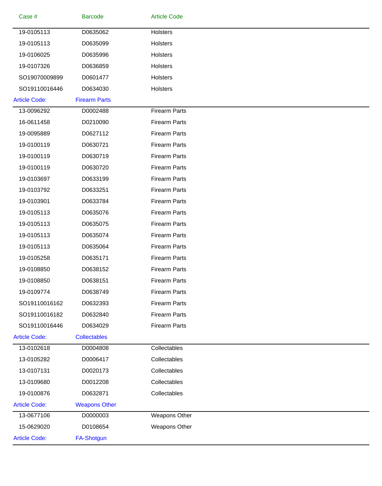| Case #               | <b>Barcode</b>       | <b>Article Code</b>  |  |
|----------------------|----------------------|----------------------|--|
| 19-0105113           | D0635062             | Holsters             |  |
| 19-0105113           | D0635099             | Holsters             |  |
| 19-0106025           | D0635996             | Holsters             |  |
| 19-0107326           | D0636859             | Holsters             |  |
| SO19070009899        | D0601477             | Holsters             |  |
| SO19110016446        | D0634030             | Holsters             |  |
| <b>Article Code:</b> | <b>Firearm Parts</b> |                      |  |
| 13-0096292           | D0002488             | <b>Firearm Parts</b> |  |
| 16-0611458           | D0210090             | <b>Firearm Parts</b> |  |
| 19-0095889           | D0627112             | <b>Firearm Parts</b> |  |
| 19-0100119           | D0630721             | <b>Firearm Parts</b> |  |
| 19-0100119           | D0630719             | <b>Firearm Parts</b> |  |
| 19-0100119           | D0630720             | <b>Firearm Parts</b> |  |
| 19-0103697           | D0633199             | <b>Firearm Parts</b> |  |
| 19-0103792           | D0633251             | <b>Firearm Parts</b> |  |
| 19-0103901           | D0633784             | <b>Firearm Parts</b> |  |
| 19-0105113           | D0635076             | <b>Firearm Parts</b> |  |
| 19-0105113           | D0635075             | <b>Firearm Parts</b> |  |
| 19-0105113           | D0635074             | <b>Firearm Parts</b> |  |
| 19-0105113           | D0635064             | <b>Firearm Parts</b> |  |
| 19-0105258           | D0635171             | <b>Firearm Parts</b> |  |
| 19-0108850           | D0638152             | <b>Firearm Parts</b> |  |
| 19-0108850           | D0638151             | <b>Firearm Parts</b> |  |
| 19-0109774           | D0638749             | <b>Firearm Parts</b> |  |
| SO19110016162        | D0632393             | <b>Firearm Parts</b> |  |
| SO19110016182        | D0632840             | <b>Firearm Parts</b> |  |
| SO19110016446        | D0634029             | <b>Firearm Parts</b> |  |
| <b>Article Code:</b> | <b>Collectables</b>  |                      |  |
| 13-0102618           | D0004808             | Collectables         |  |
| 13-0105282           | D0006417             | Collectables         |  |
| 13-0107131           | D0020173             | Collectables         |  |
| 13-0109680           | D0012208             | Collectables         |  |
| 19-0100876           | D0632871             | Collectables         |  |
| <b>Article Code:</b> | <b>Weapons Other</b> |                      |  |
| 13-0677106           | D0000003             | Weapons Other        |  |
| 15-0629020           | D0108654             | Weapons Other        |  |
| <b>Article Code:</b> | <b>FA-Shotgun</b>    |                      |  |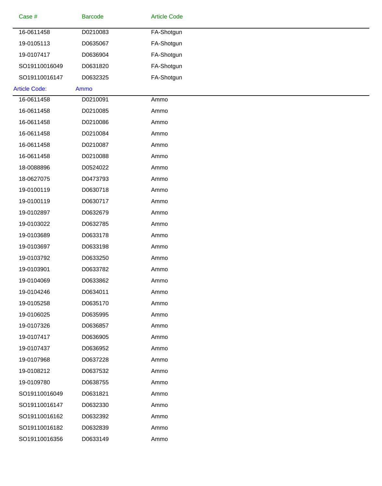| Case #               | <b>Barcode</b> | <b>Article Code</b> |  |
|----------------------|----------------|---------------------|--|
| 16-0611458           | D0210083       | FA-Shotgun          |  |
| 19-0105113           | D0635067       | FA-Shotgun          |  |
| 19-0107417           | D0636904       | FA-Shotgun          |  |
| SO19110016049        | D0631820       | FA-Shotgun          |  |
| SO19110016147        | D0632325       | FA-Shotgun          |  |
| <b>Article Code:</b> | Ammo           |                     |  |
| 16-0611458           | D0210091       | Ammo                |  |
| 16-0611458           | D0210085       | Ammo                |  |
| 16-0611458           | D0210086       | Ammo                |  |
| 16-0611458           | D0210084       | Ammo                |  |
| 16-0611458           | D0210087       | Ammo                |  |
| 16-0611458           | D0210088       | Ammo                |  |
| 18-0088896           | D0524022       | Ammo                |  |
| 18-0627075           | D0473793       | Ammo                |  |
| 19-0100119           | D0630718       | Ammo                |  |
| 19-0100119           | D0630717       | Ammo                |  |
| 19-0102897           | D0632679       | Ammo                |  |
| 19-0103022           | D0632785       | Ammo                |  |
| 19-0103689           | D0633178       | Ammo                |  |
| 19-0103697           | D0633198       | Ammo                |  |
| 19-0103792           | D0633250       | Ammo                |  |
| 19-0103901           | D0633782       | Ammo                |  |
| 19-0104069           | D0633862       | Ammo                |  |
| 19-0104246           | D0634011       | Ammo                |  |
| 19-0105258           | D0635170       | Ammo                |  |
| 19-0106025           | D0635995       | Ammo                |  |
| 19-0107326           | D0636857       | Ammo                |  |
| 19-0107417           | D0636905       | Ammo                |  |
| 19-0107437           | D0636952       | Ammo                |  |
| 19-0107968           | D0637228       | Ammo                |  |
| 19-0108212           | D0637532       | Ammo                |  |
| 19-0109780           | D0638755       | Ammo                |  |
| SO19110016049        | D0631821       | Ammo                |  |
| SO19110016147        | D0632330       | Ammo                |  |
| SO19110016162        | D0632392       | Ammo                |  |
| SO19110016182        | D0632839       | Ammo                |  |
| SO19110016356        | D0633149       | Ammo                |  |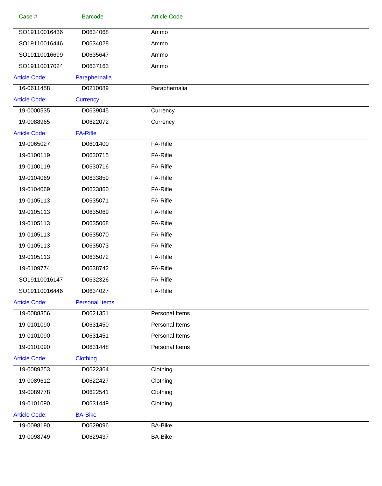| Case #               | <b>Barcode</b>        | <b>Article Code</b> |
|----------------------|-----------------------|---------------------|
| SO19110016436        | D0634068              | Ammo                |
| SO19110016446        | D0634028              | Ammo                |
| SO19110016699        | D0635647              | Ammo                |
| SO19110017024        | D0637163              | Ammo                |
| <b>Article Code:</b> | Paraphernalia         |                     |
| 16-0611458           | D0210089              | Paraphernalia       |
| <b>Article Code:</b> | <b>Currency</b>       |                     |
| 19-0000535           | D0639045              | Currency            |
| 19-0088965           | D0622072              | Currency            |
| <b>Article Code:</b> | <b>FA-Rifle</b>       |                     |
| 19-0065027           | D0601400              | FA-Rifle            |
| 19-0100119           | D0630715              | FA-Rifle            |
| 19-0100119           | D0630716              | FA-Rifle            |
| 19-0104069           | D0633859              | FA-Rifle            |
| 19-0104069           | D0633860              | FA-Rifle            |
| 19-0105113           | D0635071              | FA-Rifle            |
| 19-0105113           | D0635069              | FA-Rifle            |
| 19-0105113           | D0635068              | FA-Rifle            |
| 19-0105113           | D0635070              | FA-Rifle            |
| 19-0105113           | D0635073              | FA-Rifle            |
| 19-0105113           | D0635072              | FA-Rifle            |
| 19-0109774           | D0638742              | FA-Rifle            |
| SO19110016147        | D0632326              | FA-Rifle            |
| SO19110016446        | D0634027              | FA-Rifle            |
| <b>Article Code:</b> | <b>Personal Items</b> |                     |
| 19-0088356           | D0621351              | Personal Items      |
| 19-0101090           | D0631450              | Personal Items      |
| 19-0101090           | D0631451              | Personal Items      |
| 19-0101090           | D0631448              | Personal Items      |
| <b>Article Code:</b> | <b>Clothing</b>       |                     |
| 19-0089253           | D0622364              | Clothing            |
| 19-0089612           | D0622427              | Clothing            |
| 19-0089778           | D0622541              | Clothing            |
| 19-0101090           | D0631449              | Clothing            |
| <b>Article Code:</b> | <b>BA-Bike</b>        |                     |
| 19-0098190           | D0629096              | <b>BA-Bike</b>      |
| 19-0098749           | D0629437              | <b>BA-Bike</b>      |